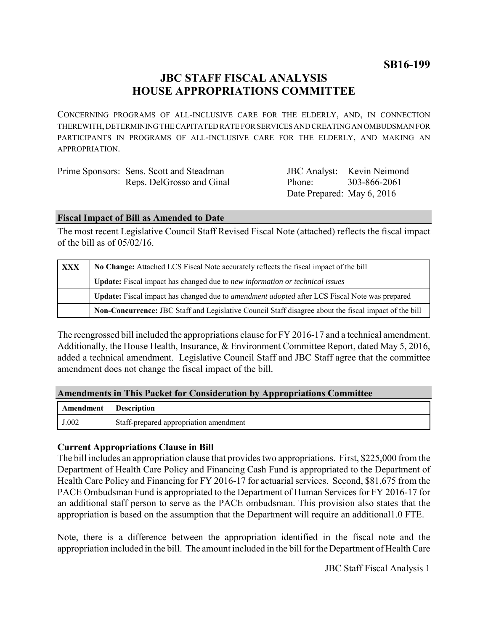**SB16-199**

# **JBC STAFF FISCAL ANALYSIS HOUSE APPROPRIATIONS COMMITTEE**

CONCERNING PROGRAMS OF ALL-INCLUSIVE CARE FOR THE ELDERLY, AND, IN CONNECTION THEREWITH, DETERMINING THE CAPITATED RATE FOR SERVICES AND CREATING AN OMBUDSMAN FOR PARTICIPANTS IN PROGRAMS OF ALL-INCLUSIVE CARE FOR THE ELDERLY, AND MAKING AN APPROPRIATION.

| Prime Sponsors: Sens. Scott and Steadman |
|------------------------------------------|
| Reps. DelGrosso and Ginal                |

JBC Analyst: Kevin Neimond Phone: Date Prepared: May 6, 2016 303-866-2061

### **Fiscal Impact of Bill as Amended to Date**

The most recent Legislative Council Staff Revised Fiscal Note (attached) reflects the fiscal impact of the bill as of 05/02/16.

| <b>XXX</b> | No Change: Attached LCS Fiscal Note accurately reflects the fiscal impact of the bill                 |  |
|------------|-------------------------------------------------------------------------------------------------------|--|
|            | <b>Update:</b> Fiscal impact has changed due to new information or technical issues                   |  |
|            | Update: Fiscal impact has changed due to <i>amendment adopted</i> after LCS Fiscal Note was prepared  |  |
|            | Non-Concurrence: JBC Staff and Legislative Council Staff disagree about the fiscal impact of the bill |  |

The reengrossed bill included the appropriations clause for FY 2016-17 and a technical amendment. Additionally, the House Health, Insurance, & Environment Committee Report, dated May 5, 2016, added a technical amendment. Legislative Council Staff and JBC Staff agree that the committee amendment does not change the fiscal impact of the bill.

### **Amendments in This Packet for Consideration by Appropriations Committee**

| <b>Amendment</b> Description |                                        |
|------------------------------|----------------------------------------|
| J.002                        | Staff-prepared appropriation amendment |

### **Current Appropriations Clause in Bill**

The bill includes an appropriation clause that provides two appropriations. First, \$225,000 from the Department of Health Care Policy and Financing Cash Fund is appropriated to the Department of Health Care Policy and Financing for FY 2016-17 for actuarial services. Second, \$81,675 from the PACE Ombudsman Fund is appropriated to the Department of Human Services for FY 2016-17 for an additional staff person to serve as the PACE ombudsman. This provision also states that the appropriation is based on the assumption that the Department will require an additional1.0 FTE.

Note, there is a difference between the appropriation identified in the fiscal note and the appropriation included in the bill. The amount included in the bill for the Department of Health Care